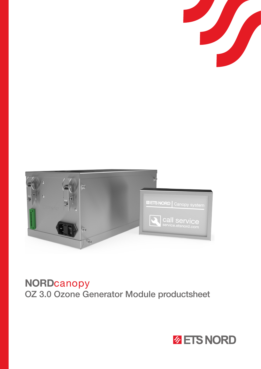



# NORDcanopy OZ 3.0 Ozone Generator Module productsheet

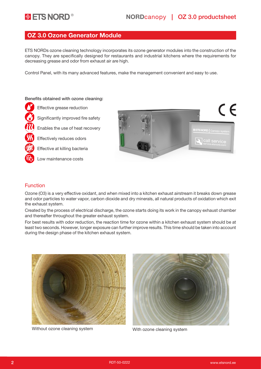### OZ 3.0 Ozone Generator Module

ETS NORDs ozone cleaning technology incorporates its ozone generator modules into the construction of the canopy. They are specifically designed for restaurants and industrial kitchens where the requirements for decreasing grease and odor from exhaust air are high.

Control Panel, with its many advanced features, make the management convenient and easy to use.

#### Benefits obtained with ozone cleaning:

Effective grease reduction

Significantly improved fire safety

Enables the use of heat recovery

Effectively reduces odors

Effective at killing bacteria

Low maintenance costs



#### Function

Ozone (O3) is a very effective oxidant, and when mixed into a kitchen exhaust airstream it breaks down grease and odor particles to water vapor, carbon dioxide and dry minerals, all natural products of oxidation which exit the exhaust system.

Created by the process of electrical discharge, the ozone starts doing its work in the canopy exhaust chamber and thereafter throughout the greater exhaust system.

For best results with odor reduction, the reaction time for ozone within a kitchen exhaust system should be at least two seconds. However, longer exposure can further improve results. This time should be taken into account during the design phase of the kitchen exhaust system.



Without ozone cleaning system With ozone cleaning system

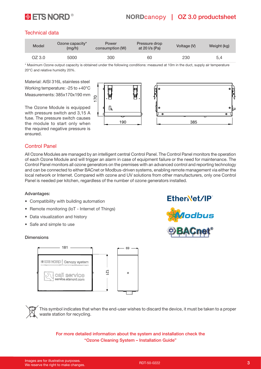

# **ETS NORD**<sup>®</sup> NORDcanopy | OZ 3.0 productsheet

### Technical data

| Model  | Ozone capacity*<br>(mq/h) | Power<br>consumption (W) | Pressure drop<br>at 20 $\sqrt{s}$ (Pa) | Voltage (V) | Weight (kg) |
|--------|---------------------------|--------------------------|----------------------------------------|-------------|-------------|
| OZ 3.0 | 5000                      | 300                      | 60                                     | 230         | 5,4         |

\* Maximum Ozone output capacity is obtained under the following conditions: measured at 10m in the duct, supply air temperature 20°C and relative humidity 20%.

Material: AISI 316L stainless steel Working temperature: -25 to +40°C Measurements: 385x170x190 mm

The Ozone Module is equipped with pressure switch and 3,15 A fuse. The pressure switch causes the module to start only when the required negative pressure is ensured.



odbus

#### Control Panel

All Ozone Modules are managed by an intelligent central Control Panel. The Control Panel monitors the operation of each Ozone Module and will trigger an alarm in case of equipment failure or the need for maintenance. The Control Panel monitors all ozone generators on the premises with an advanced control and reporting technology and can be connected to either BACnet or Modbus-driven systems, enabling remote management via either the local network or Internet. Compared with ozone and UV solutions from other manufacturers, only one Control Panel is needed per kitchen, regardless of the number of ozone generators installed.

#### Advantages:

- Compatibility with building automation
- Remote monitoring (IoT Internet of Things)
- Data visualization and history
- Safe and simple to use

#### Dimensions





This symbol indicates that when the end-user wishes to discard the device, it must be taken to a proper waste station for recycling.

For more detailed information about the system and installation check the